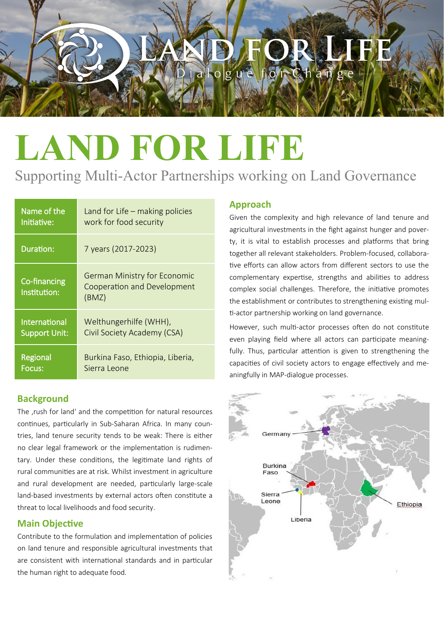# $\log u e$

## **LAND FOR LIFE**

### Supporting Multi-Actor Partnerships working on Land Governance

| Name of the                  | Land for Life - making policies                                             |
|------------------------------|-----------------------------------------------------------------------------|
| Initiative:                  | work for food security                                                      |
| Duration:                    | 7 years (2017-2023)                                                         |
| Co-financing<br>Institution: | <b>German Ministry for Economic</b><br>Cooperation and Development<br>(BMZ) |
| <b>International</b>         | Welthungerhilfe (WHH),                                                      |
| <b>Support Unit:</b>         | Civil Society Academy (CSA)                                                 |
| Regional                     | Burkina Faso, Ethiopia, Liberia,                                            |
| Focus:                       | Sierra Leone                                                                |

#### **Background**

The , rush for land' and the competition for natural resources continues, particularly in Sub-Saharan Africa. In many countries, land tenure security tends to be weak: There is either no clear legal framework or the implementation is rudimentary. Under these conditions, the legitimate land rights of rural communities are at risk. Whilst investment in agriculture and rural development are needed, particularly large-scale land-based investments by external actors often constitute a threat to local livelihoods and food security.

#### **Main Objective**

Contribute to the formulation and implementation of policies on land tenure and responsible agricultural investments that are consistent with international standards and in particular the human right to adequate food.

#### **Approach**

Given the complexity and high relevance of land tenure and agricultural investments in the fight against hunger and poverty, it is vital to establish processes and platforms that bring together all relevant stakeholders. Problem-focused, collaborative efforts can allow actors from different sectors to use the complementary expertise, strengths and abilities to address complex social challenges. Therefore, the initiative promotes the establishment or contributes to strengthening existing multi-actor partnership working on land governance.

© Welthungerhilfe

However, such multi-actor processes often do not constitute even playing field where all actors can participate meaningfully. Thus, particular attention is given to strengthening the capacities of civil society actors to engage effectively and meaningfully in MAP-dialogue processes.